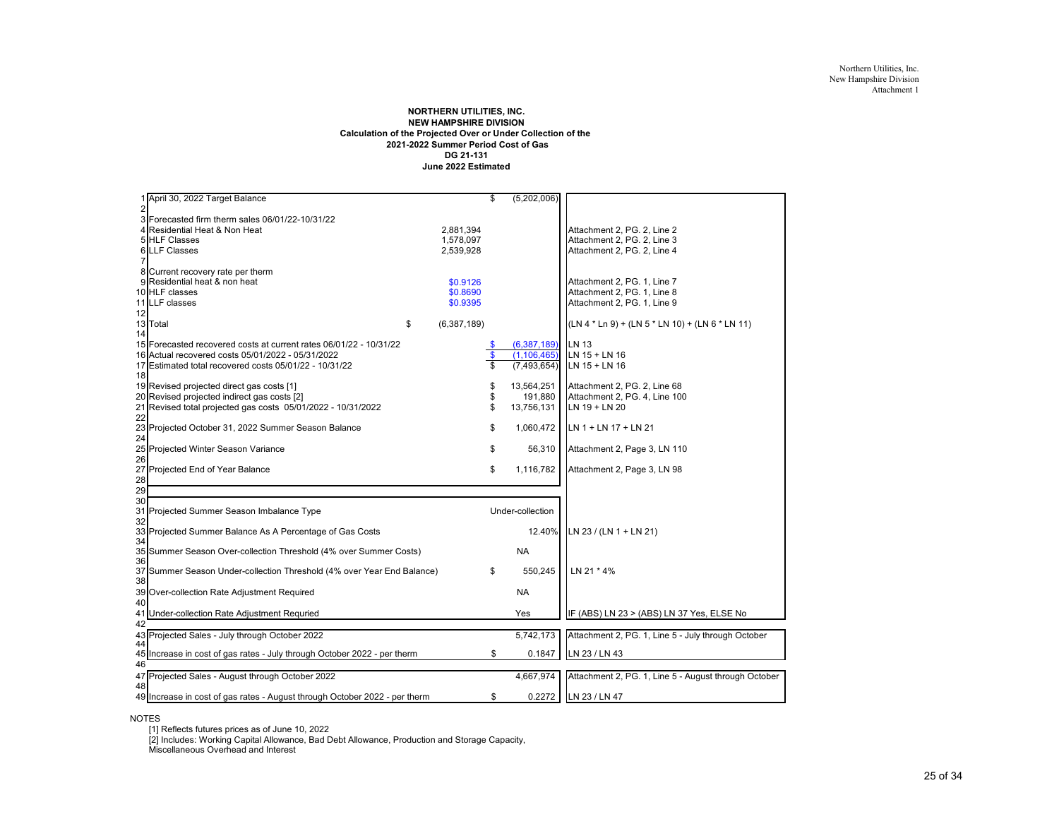#### **NORTHERN UTILITIES, INC. NEW HAMPSHIRE DIVISION Calculation of the Projected Over or Under Collection of the 2021-2022 Summer Period Cost of Gas DG 21-131June 2022 Estimated**

|                | 1 April 30, 2022 Target Balance                                            |                     | \$   | (5,202,006)      |                                                      |
|----------------|----------------------------------------------------------------------------|---------------------|------|------------------|------------------------------------------------------|
| $\overline{2}$ |                                                                            |                     |      |                  |                                                      |
|                | 3 Forecasted firm therm sales 06/01/22-10/31/22                            |                     |      |                  |                                                      |
|                | 4 Residential Heat & Non Heat                                              | 2,881,394           |      |                  | Attachment 2, PG. 2, Line 2                          |
|                | <b>5 HLF Classes</b>                                                       | 1,578,097           |      |                  | Attachment 2, PG. 2, Line 3                          |
|                | <b>6 LLF Classes</b>                                                       | 2,539,928           |      |                  | Attachment 2, PG. 2, Line 4                          |
|                |                                                                            |                     |      |                  |                                                      |
|                | 8 Current recovery rate per therm                                          |                     |      |                  |                                                      |
|                | 9 Residential heat & non heat                                              | \$0.9126            |      |                  | Attachment 2, PG. 1, Line 7                          |
|                | 10 HLF classes                                                             | \$0.8690            |      |                  | Attachment 2, PG. 1, Line 8                          |
|                | 11 LLF classes                                                             | \$0.9395            |      |                  | Attachment 2, PG. 1, Line 9                          |
| 12             |                                                                            |                     |      |                  |                                                      |
|                | 13 Total                                                                   | \$<br>(6, 387, 189) |      |                  | (LN 4 * Ln 9) + (LN 5 * LN 10) + (LN 6 * LN 11)      |
| 14             |                                                                            |                     |      |                  |                                                      |
|                | 15 Forecasted recovered costs at current rates 06/01/22 - 10/31/22         |                     | - \$ | (6,387,189)      | LN 13                                                |
|                | 16 Actual recovered costs 05/01/2022 - 05/31/2022                          |                     | \$   | (1, 106, 465)    | LN 15 + LN 16                                        |
|                | 17 Estimated total recovered costs 05/01/22 - 10/31/22                     |                     | S    | (7,493,654)      | $LN$ 15 + $LN$ 16                                    |
| 18             |                                                                            |                     |      |                  |                                                      |
|                | 19 Revised projected direct gas costs [1]                                  |                     | \$   | 13,564,251       | Attachment 2, PG. 2, Line 68                         |
|                | 20 Revised projected indirect gas costs [2]                                |                     | \$   | 191,880          | Attachment 2, PG. 4, Line 100                        |
|                | 21 Revised total projected gas costs 05/01/2022 - 10/31/2022               |                     | \$   | 13,756,131       | LN 19 + LN 20                                        |
| 22             |                                                                            |                     |      |                  |                                                      |
|                | 23 Projected October 31, 2022 Summer Season Balance                        |                     | \$   | 1,060,472        | LN 1 + LN 17 + LN 21                                 |
| 24             |                                                                            |                     |      |                  |                                                      |
|                | 25 Projected Winter Season Variance                                        |                     | \$   | 56,310           | Attachment 2, Page 3, LN 110                         |
| 26             |                                                                            |                     |      |                  |                                                      |
|                | 27 Projected End of Year Balance                                           |                     | \$   | 1,116,782        | Attachment 2, Page 3, LN 98                          |
| 28             |                                                                            |                     |      |                  |                                                      |
| 29             |                                                                            |                     |      |                  |                                                      |
| 30             |                                                                            |                     |      |                  |                                                      |
|                | 31 Projected Summer Season Imbalance Type                                  |                     |      | Under-collection |                                                      |
| 32             |                                                                            |                     |      |                  |                                                      |
|                | 33 Projected Summer Balance As A Percentage of Gas Costs                   |                     |      | 12.40%           | LN 23 / (LN 1 + LN 21)                               |
| 34             |                                                                            |                     |      |                  |                                                      |
|                | 35 Summer Season Over-collection Threshold (4% over Summer Costs)          |                     |      | <b>NA</b>        |                                                      |
| 36             |                                                                            |                     |      |                  |                                                      |
|                | 37 Summer Season Under-collection Threshold (4% over Year End Balance)     |                     | \$   | 550,245          | LN 21 * 4%                                           |
| 38             |                                                                            |                     |      |                  |                                                      |
|                | 39 Over-collection Rate Adjustment Required                                |                     |      | <b>NA</b>        |                                                      |
| 40             |                                                                            |                     |      |                  |                                                      |
|                | 41 Under-collection Rate Adjustment Requried                               |                     |      | Yes              | IF (ABS) LN 23 > (ABS) LN 37 Yes, ELSE No            |
| 42             |                                                                            |                     |      |                  |                                                      |
|                | 43 Projected Sales - July through October 2022                             |                     |      | 5,742,173        | Attachment 2, PG. 1, Line 5 - July through October   |
| 44             |                                                                            |                     |      |                  |                                                      |
|                | 45 Increase in cost of gas rates - July through October 2022 - per therm   |                     | \$   | 0.1847           | LN 23 / LN 43                                        |
| 46             |                                                                            |                     |      |                  |                                                      |
|                | 47 Projected Sales - August through October 2022                           |                     |      | 4,667,974        | Attachment 2, PG. 1, Line 5 - August through October |
| 48             |                                                                            |                     |      |                  |                                                      |
|                | 49 Increase in cost of gas rates - August through October 2022 - per therm |                     | \$   |                  | 0.2272 LN 23 / LN 47                                 |

NOTES

[1] Reflects futures prices as of June 10, 2022 [2] Includes: Working Capital Allowance, Bad Debt Allowance, Production and Storage Capacity, Miscellaneous Overhead and Interest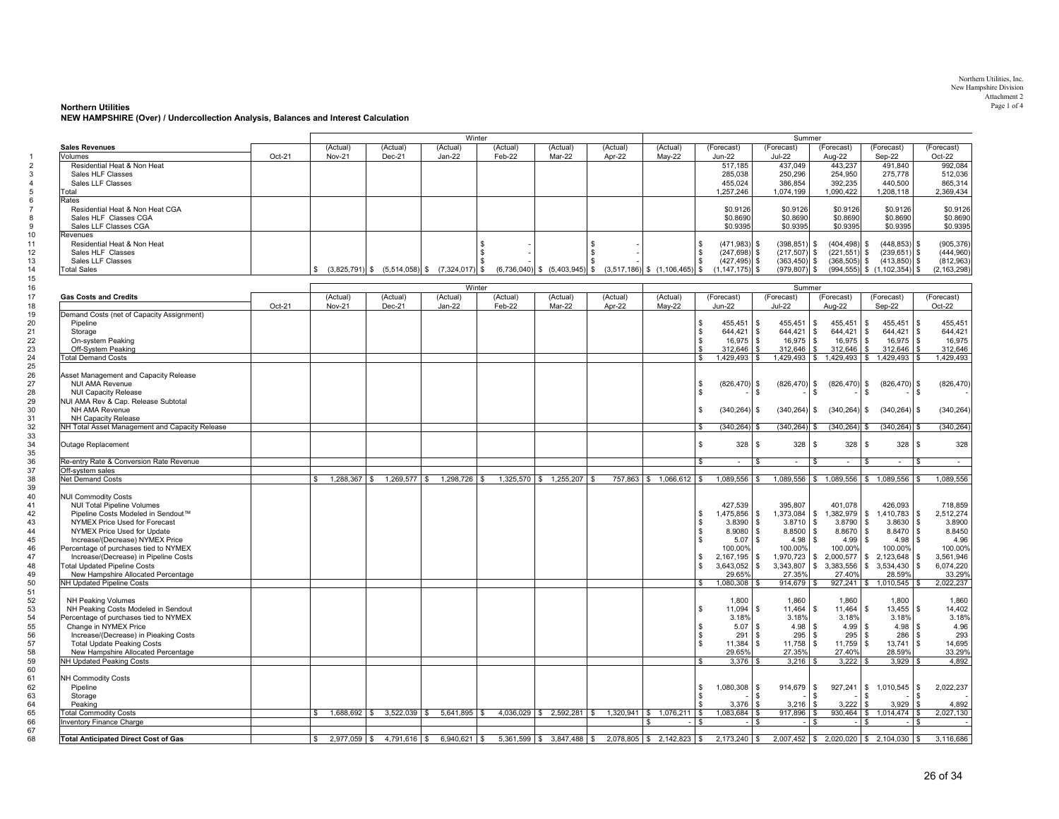#### **Northern Utilities** Page 1 of 4

#### **NEW HAMPSHIRE (Over) / Undercollection Analysis, Balances and Interest Calculation**

|                                                |        | Winter               |                               |                                                    |          |                                   |          |                                   | Summer                |                              |                                      |                                          |               |
|------------------------------------------------|--------|----------------------|-------------------------------|----------------------------------------------------|----------|-----------------------------------|----------|-----------------------------------|-----------------------|------------------------------|--------------------------------------|------------------------------------------|---------------|
| <b>Sales Revenues</b>                          |        | (Actual)             | (Actual)                      | (Actual)                                           | (Actual) | (Actual)                          | (Actual) | (Actual)                          | (Forecast)            | (Forecast)                   | (Forecast)                           | (Forecast)                               | (Forecast)    |
| Volumes                                        | Oct-21 | <b>Nov-21</b>        | Dec-21                        | $Jan-22$                                           | Feb-22   | Mar-22                            | Apr-22   | May-22                            | $Jun-22$              | <b>Jul-22</b>                | Aug-22                               | Sep-22                                   | Oct-22        |
| Residential Heat & Non Heat                    |        |                      |                               |                                                    |          |                                   |          |                                   | 517,185               | 437,049                      | 443,237                              | 491,840                                  | 992,084       |
| Sales HLF Classes                              |        |                      |                               |                                                    |          |                                   |          |                                   | 285,038               | 250,296                      | 254,950                              | 275,778                                  | 512,036       |
| Sales LLF Classes                              |        |                      |                               |                                                    |          |                                   |          |                                   | 455.024               | 386.854                      | 392.235                              | 440.500                                  | 865.314       |
| Total                                          |        |                      |                               |                                                    |          |                                   |          |                                   | 1,257,246             | 1,074,199                    | 1,090,422                            | 1,208,118                                | 2,369,434     |
| Rates                                          |        |                      |                               |                                                    |          |                                   |          |                                   |                       |                              |                                      |                                          |               |
| Residential Heat & Non Heat CGA                |        |                      |                               |                                                    |          |                                   |          |                                   | \$0.9126              | \$0.9126                     | \$0.9126                             | \$0.9126                                 | \$0.9126      |
| Sales HLF Classes CGA                          |        |                      |                               |                                                    |          |                                   |          |                                   | \$0.8690              | \$0.8690                     | \$0.8690                             | \$0.8690                                 | \$0.8690      |
| Sales LLF Classes CGA                          |        |                      |                               |                                                    |          |                                   |          |                                   | \$0.9395              | \$0.9395                     | \$0,9395                             | \$0.9395                                 | \$0.9395      |
| Revenues                                       |        |                      |                               |                                                    |          |                                   |          |                                   |                       |                              |                                      |                                          |               |
| Residential Heat & Non Heat                    |        |                      |                               |                                                    | \$       |                                   | \$       |                                   | $(471,983)$ \$<br>\$  | $(398, 851)$ \$              | $(404, 498)$ \$                      | $(448, 853)$ \$                          | (905, 376)    |
| Sales HLF Classes                              |        |                      |                               |                                                    | -9       |                                   | \$.      |                                   | $(247, 698)$ \$<br>s  | $(217, 507)$ \$              | $(221, 551)$ \$                      | $(239, 651)$ \$                          | (444,960)     |
| Sales LLF Classes                              |        |                      |                               |                                                    |          |                                   |          |                                   | $(427, 495)$ \$<br>S. | $(363, 450)$ \$              | $(368, 505)$ \$                      | $(413, 850)$ \$                          | (812,963)     |
| <b>Total Sales</b>                             |        | \$                   |                               | $(3,825,791)$ \$ $(5,514,058)$ \$ $(7,324,017)$ \$ |          | $(6,736,040)$ \$ $(5,403,945)$ \$ |          | $(3,517,186)$ \$ $(1,106,465)$ \$ | $(1, 147, 175)$ \$    | $(979, 807)$ \$              |                                      | $(994, 555)$ \$ $(1, 102, 354)$<br>l \$  | (2, 163, 298) |
|                                                |        |                      |                               |                                                    |          |                                   |          |                                   |                       |                              |                                      |                                          |               |
|                                                |        |                      |                               |                                                    | Winter   |                                   |          |                                   |                       | Summer                       |                                      |                                          |               |
| <b>Gas Costs and Credits</b>                   |        | (Actual)             | (Actual)                      | (Actual)                                           | (Actual) | (Actual)                          | (Actual) | (Actual)                          | (Forecast)            | (Forecast)                   | (Forecast)                           | (Forecast)                               | (Forecast)    |
|                                                | Oct-21 | <b>Nov-21</b>        | Dec-21                        | Jan-22                                             | Feb-22   | Mar-22                            | Apr-22   | May-22                            | <b>Jun-22</b>         | <b>Jul-22</b>                | Aug-22                               | Sep-22                                   | Oct-22        |
|                                                |        |                      |                               |                                                    |          |                                   |          |                                   |                       |                              |                                      |                                          |               |
| Demand Costs (net of Capacity Assignment)      |        |                      |                               |                                                    |          |                                   |          |                                   |                       |                              |                                      |                                          |               |
| Pipeline                                       |        |                      |                               |                                                    |          |                                   |          |                                   | 455,451<br>\$         | $\mathbf{s}$<br>455,451      | 455,451<br>$\mathbb{S}$              | 455,451<br>$\sqrt{3}$<br>\$              | 455,451       |
| Storage                                        |        |                      |                               |                                                    |          |                                   |          |                                   | 644,421<br>\$         | $644,421$ \$<br>l \$         | 644,421                              | \$<br>644,421<br>$\sqrt{3}$              | 644,421       |
| On-system Peaking                              |        |                      |                               |                                                    |          |                                   |          |                                   | \$<br>$16,975$ \$     | 16,975                       | l \$<br>16,975                       | $\mathbb{S}$<br>16.975<br>\$             | 16,975        |
| Off-System Peaking                             |        |                      |                               |                                                    |          |                                   |          |                                   | $312.646$ \$<br>\$.   | $312,646$ \$                 | 312,646                              | $\mathbb{S}$<br>312,646<br>l s           | 312,646       |
| <b>Total Demand Costs</b>                      |        |                      |                               |                                                    |          |                                   |          |                                   | $1,429,493$ \$<br>s   |                              | 1,429,493 \$ 1,429,493               | $\frac{1}{9}$<br>$1,429,493$ \$          | 1,429,493     |
|                                                |        |                      |                               |                                                    |          |                                   |          |                                   |                       |                              |                                      |                                          |               |
| Asset Management and Capacity Release          |        |                      |                               |                                                    |          |                                   |          |                                   |                       |                              |                                      |                                          |               |
| <b>NUI AMA Revenue</b>                         |        |                      |                               |                                                    |          |                                   |          |                                   | \$<br>$(826, 470)$ \$ | $(826, 470)$ \$              | (826, 470)                           | $(826, 470)$ \$<br>\$                    | (826, 470)    |
| <b>NUI Capacity Release</b>                    |        |                      |                               |                                                    |          |                                   |          |                                   | \$                    | \$                           |                                      |                                          |               |
| NUI AMA Rev & Cap. Release Subtotal            |        |                      |                               |                                                    |          |                                   |          |                                   |                       |                              |                                      |                                          |               |
| NH AMA Revenue                                 |        |                      |                               |                                                    |          |                                   |          |                                   | $(340, 264)$ \$<br>s  | $(340, 264)$ \$              | (340, 264)                           | $(340, 264)$ \$<br>\$                    | (340, 264)    |
| NH Capacity Release                            |        |                      |                               |                                                    |          |                                   |          |                                   |                       |                              |                                      |                                          |               |
| NH Total Asset Management and Capacity Release |        |                      |                               |                                                    |          |                                   |          |                                   | $(340, 264)$ \$<br>S  | $(340, 264)$ \$              | $(340, 264)$ \$                      | $(340, 264)$ \$                          | (340, 264)    |
|                                                |        |                      |                               |                                                    |          |                                   |          |                                   |                       |                              |                                      |                                          |               |
|                                                |        |                      |                               |                                                    |          |                                   |          |                                   |                       |                              |                                      |                                          |               |
| Outage Replacement                             |        |                      |                               |                                                    |          |                                   |          |                                   | \$<br>328             | 328<br>l S                   | 328<br>\$                            | 328<br>\$.<br>l \$                       | 328           |
|                                                |        |                      |                               |                                                    |          |                                   |          |                                   |                       |                              |                                      |                                          |               |
| Re-entry Rate & Conversion Rate Revenue        |        |                      |                               |                                                    |          |                                   |          |                                   | \$<br>$\sim$          | $\mathbf{\hat{S}}$<br>$\sim$ | $\mathbf{\hat{z}}$<br>$\overline{a}$ | $\mathbf{\hat{z}}$<br>$\overline{a}$     | $\sim$        |
| Off-system sales                               |        |                      |                               |                                                    |          |                                   |          |                                   |                       |                              |                                      |                                          |               |
| <b>Net Demand Costs</b>                        |        | \$<br>1,288,367 \$   | $1,269,577$ \$                | $1,298,726$ \$                                     |          | 1,325,570 \$ 1,255,207 \$         |          | 757,863 \$ 1,066,612 \$           | $1,089,556$ \$        |                              |                                      | 1,089,556 \$ 1,089,556 \$ 1,089,556 \$   | 1,089,556     |
|                                                |        |                      |                               |                                                    |          |                                   |          |                                   |                       |                              |                                      |                                          |               |
| <b>NUI Commodity Costs</b>                     |        |                      |                               |                                                    |          |                                   |          |                                   |                       |                              |                                      |                                          |               |
| <b>NUI Total Pipeline Volumes</b>              |        |                      |                               |                                                    |          |                                   |          |                                   | 427,539               | 395,807                      | 401,078                              | 426,093                                  | 718,859       |
| Pipeline Costs Modeled in Sendout™             |        |                      |                               |                                                    |          |                                   |          |                                   | 1,475,856<br>s        | $1,373,084$ \$<br>l \$       | 1,382,979                            | 1,410,783<br>$\mathfrak s$<br>l \$       | 2,512,274     |
| NYMEX Price Used for Forecast                  |        |                      |                               |                                                    |          |                                   |          |                                   | S<br>$3.8390$ \$      | $3.8710$ \$                  | 3.8790                               | 3.8630<br>\$<br><b>S</b>                 | 3.8900        |
| NYMEX Price Used for Update                    |        |                      |                               |                                                    |          |                                   |          |                                   | \$<br>8.9080          | 8.8500<br>l s                | l \$<br>8.8670                       | \$<br>8.8470<br>l \$                     | 8.8450        |
| Increase/(Decrease) NYMEX Price                |        |                      |                               |                                                    |          |                                   |          |                                   | \$<br>5.07            | 4.98<br>l s                  | $\mathbf{s}$<br>4.99                 | 4.98<br>$\mathbf{\hat{z}}$<br>l \$       | 4.96          |
| Percentage of purchases tied to NYMEX          |        |                      |                               |                                                    |          |                                   |          |                                   | 100.00%               | 100.00%                      | 100.00%                              | 100.00%                                  | 100.00%       |
|                                                |        |                      |                               |                                                    |          |                                   |          |                                   |                       |                              |                                      |                                          |               |
| Increase/(Decrease) in Pipeline Costs          |        |                      |                               |                                                    |          |                                   |          |                                   | S<br>$2,167,195$ \$   | 1,970,723                    | 2,000,577<br>\$                      | \$<br>2.123.648<br><b>S</b>              | 3.561.946     |
| <b>Total Updated Pipeline Costs</b>            |        |                      |                               |                                                    |          |                                   |          |                                   | $3,643,052$ \$<br>S.  | 3,343,807                    | \$<br>3,383,556                      | \$<br>3,534,430<br>l \$                  | 6,074,220     |
| New Hampshire Allocated Percentage             |        |                      |                               |                                                    |          |                                   |          |                                   | 29.65%                | 27.35%                       | 27.40%                               | 28.59%                                   | 33.29%        |
| NH Updated Pipeline Costs                      |        |                      |                               |                                                    |          |                                   |          |                                   | $1,080,308$ \$<br>\$  | $914,679$ \$                 |                                      | $927,241$ \$ 1,010,545 \$                | 2,022,237     |
|                                                |        |                      |                               |                                                    |          |                                   |          |                                   |                       |                              |                                      |                                          |               |
| <b>NH Peaking Volumes</b>                      |        |                      |                               |                                                    |          |                                   |          |                                   | 1.800                 | 1.860                        | 1.860                                | 1.800                                    | 1,860         |
| NH Peaking Costs Modeled in Sendout            |        |                      |                               |                                                    |          |                                   |          |                                   | \$<br>$11,094$ \$     | 11,464                       | l \$<br>11,464                       | $\mathbf{s}$<br>13,455<br>$\mathbf{s}$   | 14,402        |
| Percentage of purchases tied to NYMEX          |        |                      |                               |                                                    |          |                                   |          |                                   | 3.18%                 | 3.18%                        | 3.18%                                | 3.18%                                    | 3.18%         |
| Change in NYMEX Price                          |        |                      |                               |                                                    |          |                                   |          |                                   | \$<br>5.07            | l s<br>4.98                  | 4.99<br>s.                           | 4.98<br>$\mathbf{s}$<br>\$               | 4.96          |
| Increase/(Decrease) in Pieaking Costs          |        |                      |                               |                                                    |          |                                   |          |                                   | \$<br>291             | $\sqrt{3}$<br>295            | \$<br>295                            | \$<br>286<br>\$                          | 293           |
| <b>Total Update Peaking Costs</b>              |        |                      |                               |                                                    |          |                                   |          |                                   | s<br>11,384           | l \$<br>11,758               | 11,759<br>\$                         | $\sqrt{2}$<br>13,741<br><b>S</b>         | 14,695        |
| New Hampshire Allocated Percentage             |        |                      |                               |                                                    |          |                                   |          |                                   | 29.65%                | 27.35%                       | 27.40%                               | 28.59%                                   | 33.29%        |
|                                                |        |                      |                               |                                                    |          |                                   |          |                                   |                       |                              |                                      |                                          |               |
| NH Updated Peaking Costs                       |        |                      |                               |                                                    |          |                                   |          |                                   | \$<br>$3,376$ \$      | $3,216$ \$                   | 3,222                                | 3,929<br>l \$                            | 4,892         |
|                                                |        |                      |                               |                                                    |          |                                   |          |                                   |                       |                              |                                      |                                          |               |
| <b>NH Commodity Costs</b>                      |        |                      |                               |                                                    |          |                                   |          |                                   |                       |                              |                                      |                                          |               |
| Pipeline                                       |        |                      |                               |                                                    |          |                                   |          |                                   | 1,080,308<br>s        | 914,679<br>$\sqrt{3}$        | 927,241<br>$\sqrt{3}$                | \$1,010,545<br>  \$                      | 2,022,237     |
| Storage                                        |        |                      |                               |                                                    |          |                                   |          |                                   | s                     | \$                           |                                      |                                          |               |
| Peaking                                        |        |                      |                               |                                                    |          |                                   |          |                                   | 3.376                 | l s<br>3.216                 | 3,222<br>\$.                         | 3.929<br>\$<br>\$.                       | 4.892         |
| <b>Total Commodity Costs</b>                   |        | \$.                  | $1,688,692$ \$ $3,522,039$ \$ | $5,641,895$ \$                                     |          | $4,036,029$ \$ 2,592,281 \$       |          | $1,320,941$ \$ $1,076,211$ \$     | $1.083.684$ \ \$      | 917,896 \$                   | $930,464$ \$                         | $1,014,474$ \$                           | 2,027,130     |
| <b>Inventory Finance Charge</b>                |        |                      |                               |                                                    |          |                                   |          |                                   | s.                    | 1\$                          | \$                                   | -\$<br>- \$                              |               |
|                                                |        |                      |                               |                                                    |          |                                   |          |                                   |                       |                              |                                      |                                          |               |
| <b>Total Anticipated Direct Cost of Gas</b>    |        | $2.977.059$ \$<br>S. | $4.791.616$ \$                | $6.940.621$ \ \$                                   |          | $5,361,599$ \$ 3,847,488 \$       |          | $2,078,805$ \$ 2,142,823 \$       | $2,173,240$ \$        |                              |                                      | $2,007,452$ \$ 2,020,020 \$ 2,104,030 \$ | 3.116.686     |
|                                                |        |                      |                               |                                                    |          |                                   |          |                                   |                       |                              |                                      |                                          |               |

Northern Utilities, Inc. New Hampshire Division Attachment 2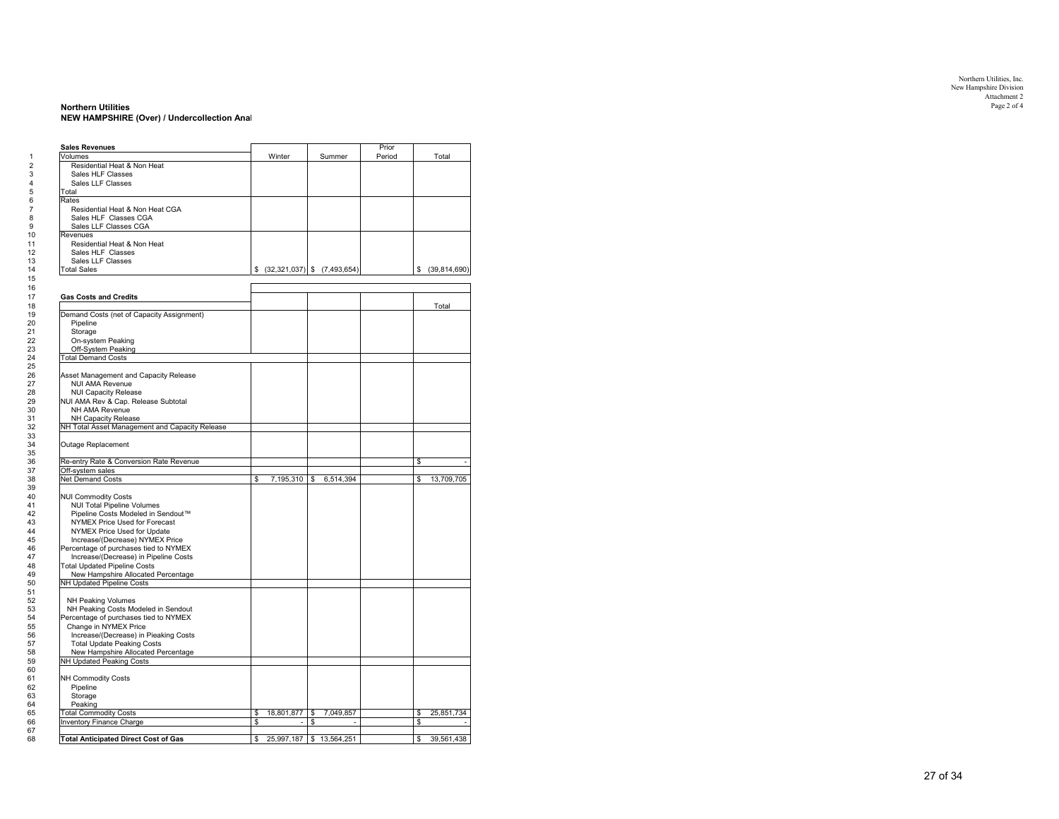# Northern Utilities, Inc. New Hampshire Division Attachment 2

#### **Northern Utilities** Page 2 of 4 **NEW HAMPSHIRE (Over) / Undercollection Anal**

| <b>Sales Revenues</b>                                                 |    |                |                                                      | Prior  |    |                 |
|-----------------------------------------------------------------------|----|----------------|------------------------------------------------------|--------|----|-----------------|
| Volumes                                                               |    | Winter         | Summer                                               | Period |    | Total           |
| Residential Heat & Non Heat<br>Sales HLF Classes                      |    |                |                                                      |        |    |                 |
|                                                                       |    |                |                                                      |        |    |                 |
| Sales LLF Classes<br>Total                                            |    |                |                                                      |        |    |                 |
| Rates                                                                 |    |                |                                                      |        |    |                 |
| Residential Heat & Non Heat CGA                                       |    |                |                                                      |        |    |                 |
| Sales HLF Classes CGA                                                 |    |                |                                                      |        |    |                 |
| Sales LLF Classes CGA                                                 |    |                |                                                      |        |    |                 |
| Revenues                                                              |    |                |                                                      |        |    |                 |
| Residential Heat & Non Heat                                           |    |                |                                                      |        |    |                 |
| Sales HLF Classes                                                     |    |                |                                                      |        |    |                 |
| Sales LLF Classes                                                     |    |                |                                                      |        |    |                 |
| <b>Total Sales</b>                                                    |    |                | $\frac{1}{2}$ (32,321,037) $\frac{1}{2}$ (7,493,654) |        |    | \$ (39,814,690) |
|                                                                       |    |                |                                                      |        |    |                 |
| <b>Gas Costs and Credits</b>                                          |    |                |                                                      |        |    |                 |
| Demand Costs (net of Capacity Assignment)                             |    |                |                                                      |        |    | Total           |
| Pipeline                                                              |    |                |                                                      |        |    |                 |
| Storage                                                               |    |                |                                                      |        |    |                 |
| On-system Peaking                                                     |    |                |                                                      |        |    |                 |
| Off-System Peaking                                                    |    |                |                                                      |        |    |                 |
| <b>Total Demand Costs</b>                                             |    |                |                                                      |        |    |                 |
|                                                                       |    |                |                                                      |        |    |                 |
| Asset Management and Capacity Release                                 |    |                |                                                      |        |    |                 |
| <b>NUI AMA Revenue</b>                                                |    |                |                                                      |        |    |                 |
| <b>NUI Capacity Release</b>                                           |    |                |                                                      |        |    |                 |
| NUI AMA Rev & Cap. Release Subtotal                                   |    |                |                                                      |        |    |                 |
| NH AMA Revenue                                                        |    |                |                                                      |        |    |                 |
| NH Capacity Release<br>NH Total Asset Management and Capacity Release |    |                |                                                      |        |    |                 |
|                                                                       |    |                |                                                      |        |    |                 |
| Outage Replacement                                                    |    |                |                                                      |        |    |                 |
| Re-entry Rate & Conversion Rate Revenue                               |    |                |                                                      |        | \$ |                 |
| Off-system sales                                                      |    |                |                                                      |        |    |                 |
| Net Demand Costs                                                      | \$ |                | 7,195,310 \$ 6,514,394                               |        | \$ | 13,709,705      |
|                                                                       |    |                |                                                      |        |    |                 |
| <b>NUI Commodity Costs</b>                                            |    |                |                                                      |        |    |                 |
| <b>NUI Total Pipeline Volumes</b>                                     |    |                |                                                      |        |    |                 |
| Pipeline Costs Modeled in Sendout™<br>NYMEX Price Used for Forecast   |    |                |                                                      |        |    |                 |
| NYMEX Price Used for Update                                           |    |                |                                                      |        |    |                 |
| Increase/(Decrease) NYMEX Price                                       |    |                |                                                      |        |    |                 |
| Percentage of purchases tied to NYMEX                                 |    |                |                                                      |        |    |                 |
| Increase/(Decrease) in Pipeline Costs                                 |    |                |                                                      |        |    |                 |
| <b>Total Updated Pipeline Costs</b>                                   |    |                |                                                      |        |    |                 |
| New Hampshire Allocated Percentage                                    |    |                |                                                      |        |    |                 |
| NH Updated Pipeline Costs                                             |    |                |                                                      |        |    |                 |
|                                                                       |    |                |                                                      |        |    |                 |
| <b>NH Peaking Volumes</b><br>NH Peaking Costs Modeled in Sendout      |    |                |                                                      |        |    |                 |
| Percentage of purchases tied to NYMEX                                 |    |                |                                                      |        |    |                 |
| Change in NYMEX Price                                                 |    |                |                                                      |        |    |                 |
| Increase/(Decrease) in Pieaking Costs                                 |    |                |                                                      |        |    |                 |
| <b>Total Update Peaking Costs</b>                                     |    |                |                                                      |        |    |                 |
| New Hampshire Allocated Percentage                                    |    |                |                                                      |        |    |                 |
| NH Updated Peaking Costs                                              |    |                |                                                      |        |    |                 |
|                                                                       |    |                |                                                      |        |    |                 |
| <b>NH Commodity Costs</b><br>Pipeline                                 |    |                |                                                      |        |    |                 |
| Storage                                                               |    |                |                                                      |        |    |                 |
| Peaking                                                               |    |                |                                                      |        |    |                 |
| <b>Total Commodity Costs</b>                                          | \$ | 18.801.877     | 7.049.857<br>\$                                      |        | \$ | 25,851,734      |
| Inventory Finance Charge                                              | \$ | $\overline{a}$ | \$                                                   |        | \$ |                 |
| <b>Total Anticipated Direct Cost of Gas</b>                           | s  |                | 25,997,187 \$ 13,564,251                             |        | s  | 39,561,438      |
|                                                                       |    |                |                                                      |        |    |                 |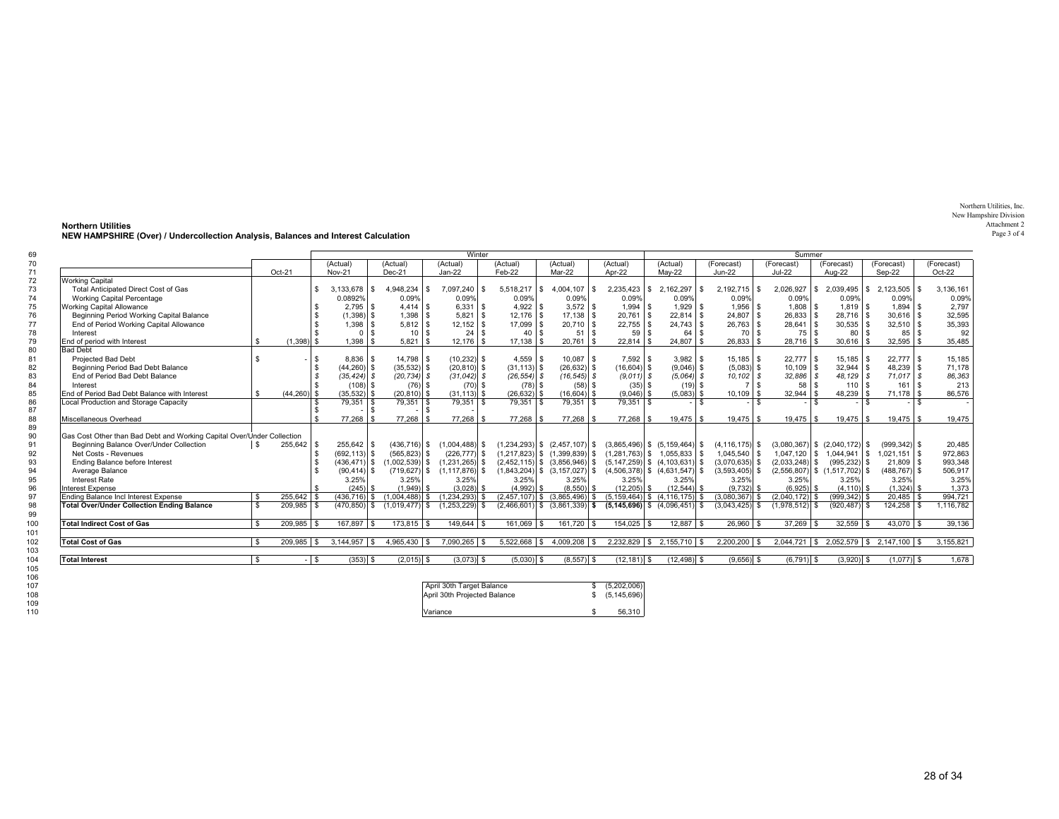Northern Utilities, Inc. New Hampshire Division Attachment 2Page 3 of 4

| 69  |                                                                        |              |               |              |                     |                                 |     | Winter                       |      |                 |    |                                   | Summer                                |     |                |              |                    |                |                                   |          |                                   |              |                                          |            |
|-----|------------------------------------------------------------------------|--------------|---------------|--------------|---------------------|---------------------------------|-----|------------------------------|------|-----------------|----|-----------------------------------|---------------------------------------|-----|----------------|--------------|--------------------|----------------|-----------------------------------|----------|-----------------------------------|--------------|------------------------------------------|------------|
| 70  |                                                                        |              |               |              | (Actual)            | (Actual)                        |     | (Actual)                     |      | (Actual)        |    | (Actual)                          | (Actual)                              |     | (Actual)       |              | (Forecast)         |                | (Forecast)                        |          | (Forecast)                        |              | (Forecast)                               | (Forecast) |
| 71  |                                                                        |              | $Oct-21$      |              | <b>Nov-21</b>       | $Dec-21$                        |     | $Jan-22$                     |      | Feb-22          |    | $Mar-22$                          | Apr-22                                |     | <b>May-22</b>  |              | $Jun-22$           |                | $Jul-22$                          |          | Aug-22                            |              | Sep-22                                   | Oct-22     |
| 72  | <b>Working Capital</b>                                                 |              |               |              |                     |                                 |     |                              |      |                 |    |                                   |                                       |     |                |              |                    |                |                                   |          |                                   |              |                                          |            |
| 73  | Total Anticipated Direct Cost of Gas                                   |              |               | $\mathbf{f}$ | 3,133,678<br>1 S    | 4,948,234                       | \$. | 7,097,240                    |      | 5,518,217       | S. | 4,004,107<br>$\mathbf{s}$         | 2,235,423                             | \$. | 2,162,297      | $\mathbf{s}$ | 2,192,715          | $\mathfrak{L}$ | 2,026,927                         | <b>S</b> | 2,039,495                         | <b>S</b>     | 2,123,505                                | 3,136,161  |
| 74  | Working Capital Percentage                                             |              |               |              | 0.0892%             | 0.09%                           |     | 0.09%                        |      | 0.09%           |    | 0.09%                             | 0.09%                                 |     | 0.09%          |              | 0.09%              |                | 0.09%                             |          | 0.09%                             |              | 0.09%                                    | 0.09%      |
| 75  | <b>Working Capital Allowance</b>                                       |              |               |              | $2.795$ \ \$        | $4.414$ \$                      |     | $6.331$ \ \$                 |      | $4.922$ \$      |    |                                   | 1.994                                 | \$  | $1.929$ \$     |              | 1.956              | l \$           |                                   |          | $1.819$ \ \$                      |              | $1.894$ \ \$                             | 2,797      |
| 76  | Beginning Period Working Capital Balance                               |              |               |              | $(1,398)$ \$        | $1,398$ \$                      |     | $5,821$ \$                   |      | $12.176$ \$     |    | $17,138$ \$                       | 20,761                                | \$  | $22,814$ \$    |              | $24,807$ \$        |                | $26,833$ \$                       |          | $28,716$ \$                       |              | $30,616$ \$                              | 32,595     |
| 77  | End of Period Working Capital Allowance                                |              |               | $\mathbf{F}$ | $1,398$ \$          | $5,812$ \$                      |     | $12,152$ \$                  |      | $17,099$ \$     |    | $20,710$ \$                       | 22,755                                | \$  | $24,743$ \$    |              | $26,763$ \$        |                | $28,641$ \$                       |          | $30,535$ \$                       |              | $32,510$ \$                              | 35,393     |
| 78  | Interest                                                               |              |               | $\mathbf{f}$ | $0$   $\frac{2}{3}$ | 10 <sup>1</sup>                 | l s | 24                           | - \$ | $40$ $\sqrt{S}$ |    | 51S                               | 59                                    | \$  | 64 \$          |              | 70 \$              |                | $75$ \ $$$                        |          | 80                                | l s          | $85$ $\sqrt{S}$                          | 92         |
| 79  | End of period with Interest                                            |              | $(1.398)$ \$  |              | 1.398               | 5.821                           |     | $12.176$ \ \$                |      |                 |    | $20.761$ \ \$                     | 22.814                                | £.  | $24.807$ \$    |              | 26.833             |                | $28.716$ \ \$                     |          | $30.616$ \ \$                     |              | $32.595$ \$                              | 35,485     |
| 80  | <b>Bad Debt</b>                                                        |              |               |              |                     |                                 |     |                              |      |                 |    |                                   |                                       |     |                |              |                    |                |                                   |          |                                   |              |                                          |            |
| 81  | <b>Projected Bad Debt</b>                                              |              |               | l s          | $8,836$ \$          | 14,798 \$                       |     | $(10, 232)$ \$               |      | $4,559$ \$      |    | $10,087$ \$                       | $7,592$ \$                            |     | $3,982$ \$     |              | $15,185$ \$        |                | $22,777$ \$                       |          | $15,185$ \$                       |              | $22.777$ \$                              | 15,185     |
| 82  | Beginning Period Bad Debt Balance                                      |              |               | l \$         | $(44, 260)$ \$      | $(35,532)$ \$                   |     | $(20, 810)$ \$               |      | $(31, 113)$ \$  |    | $(26, 632)$ \$                    | $(16,604)$ \$                         |     | $(9,046)$ \$   |              | $(5,083)$ \$       |                | $10,109$ \$                       |          | $32,944$ \$                       |              | $48,239$ \$                              | 71,178     |
| 83  | End of Period Bad Debt Balance                                         |              |               | $\mathbf{s}$ | $(35, 424)$ \$      | $(20, 734)$ \$                  |     | $(31.042)$ \$                |      | $(26, 554)$ \$  |    | $(16, 545)$ \$                    | $(9.011)$ \$                          |     | $(5.064)$ \$   |              | $10,102$ \$        |                | $32,886$ \$                       |          | 48,129 \$                         |              | $71,017$ \$                              | 86,363     |
| 84  | Interest                                                               |              |               | <b>S</b>     | $(108)$ \$          | $(76)$ \$                       |     | $(70)$ \$                    |      | $(78)$ \$       |    | $(58)$ \$                         | $(35)$ \$                             |     | $(19)$ \$      |              | 7 \ \$             |                | $58$ \ $$$                        |          | $110$ $\sqrt{5}$                  |              | $161$ $\sqrt{5}$                         | 213        |
| 85  | End of Period Bad Debt Balance with Interest                           | \$           | $(44,260)$ \$ |              | $(35,532)$ \$       | $(20, 810)$ \$                  |     | $(31, 113)$ \$               |      | $(26, 632)$ \$  |    | $(16,604)$ \$                     | $(9,046)$ \$                          |     | $(5,083)$ \$   |              | 10,109             | l \$           | 32,944                            | l \$     | 48,239                            | l \$         | $71,178$ \$                              | 86,576     |
| 86  | Local Production and Storage Capacity                                  |              |               |              | $79,351$ \$         | $79,351$ \$                     |     | $79,351$ \$                  |      | $79,351$ \$     |    | $79,351$ \$                       | $79.351$ \ \$                         |     |                | $\mathbf{s}$ |                    | $\mathcal{F}$  |                                   | 1 s      |                                   | $\mathbf{S}$ | - S                                      |            |
| 87  |                                                                        |              |               | l \$         | l s                 |                                 |     |                              |      |                 |    |                                   |                                       |     |                |              |                    |                |                                   |          |                                   |              |                                          |            |
| 88  | Miscellaneous Overhead                                                 |              |               | $\mathbf{r}$ | 77.268 \$           | 77.268 \$                       |     | 77.268                       |      | 77.268 \$       |    | 77.268 \$                         | $77.268$ \$                           |     | $19.475$ \$    |              |                    |                | $19.475$ \$                       |          | $19.475$ \$                       |              |                                          | 19.475     |
| 89  |                                                                        |              |               |              |                     |                                 |     |                              |      |                 |    |                                   |                                       |     |                |              |                    |                |                                   |          |                                   |              |                                          |            |
| 90  | Gas Cost Other than Bad Debt and Working Capital Over/Under Collection |              |               |              |                     |                                 |     |                              |      |                 |    |                                   |                                       |     |                |              |                    |                |                                   |          |                                   |              |                                          |            |
| 91  | Beginning Balance Over/Under Collection                                | \$.          | 255,642 \$    |              | $255,642$ \$        | $(436, 716)$ \$                 |     | $(1.004.488)$ \$             |      |                 |    | $(1,234,293)$ \$ $(2,457,107)$ \$ | $(3,865,496)$ \$ $(5,159,464)$ \$     |     |                |              | $(4, 116, 175)$ \$ |                | $(3,080,367)$ \$ $(2,040,172)$ \$ |          |                                   |              | $(999.342)$ \$                           | 20,485     |
| 92  | Net Costs - Revenues                                                   |              |               | <b>S</b>     | $(692, 113)$ \$     | $(565, 823)$ \$                 |     | $(226, 777)$ \$              |      |                 |    | $(1,217,823)$ \$ $(1,399,839)$ \$ | $(1,281,763)$ \$ 1,055,833 \$         |     |                |              | $1,045,540$ \$     |                |                                   |          | $1,047,120$ \$ $1,044,941$ \$     |              | $1,021,151$ \$                           | 972,863    |
| 93  | Ending Balance before Interest                                         |              |               | <b>S</b>     | $(436, 471)$ \$     | $(1,002,539)$ \$                |     | $(1,231,265)$ \$             |      |                 |    | $(2,452,115)$ \$ $(3,856,946)$ \$ | $(5, 147, 259)$ \$ $(4, 103, 631)$ \$ |     |                |              | $(3,070,635)$ \$   |                | $(2,033,248)$ \$                  |          | $(995, 232)$ \$                   |              | $21.809$ \$                              | 993,348    |
| 94  | Average Balance                                                        |              |               | $\mathbf{F}$ | $(90, 414)$ \$      | $(719, 627)$ \$                 |     | $(1.117.876)$ \$             |      |                 |    | $(1,843,204)$ \$ $(3,157,027)$ \$ | $(4,506,378)$ \$ $(4,631,547)$ \$     |     |                |              | $(3,593,405)$ \$   |                |                                   |          | $(2,556,807)$ \$ $(1,517,702)$ \$ |              | $(488, 767)$ \$                          | 506,917    |
| 95  | Interest Rate                                                          |              |               |              | 3.25%               | 3.25%                           |     | 3.25%                        |      | 3.25%           |    | 3.25%                             | 3.25%                                 |     | 3.25%          |              | 3.25%              |                | 3.25%                             |          | 3.25%                             |              | 3.25%                                    | 3.25%      |
| 96  | <b>Interest Expense</b>                                                |              |               | . <b>\$</b>  | $(245)$ \$          | $(1.949)$ \$                    |     | $(3,028)$ \$                 |      | $(4,992)$ \$    |    | $(8,550)$ \$                      | $(12, 205)$ \$                        |     | $(12,544)$ \$  |              | $(9,732)$ \$       |                | $(6,925)$ \$                      |          | $(4, 110)$ \$                     |              | $(1,324)$ \$                             | 1,373      |
| 97  | Ending Balance Incl Interest Expense                                   | \$.          | $255.642$ \$  |              | $(436.716)$ \$      | $(1.004.488)$ \$                |     | (1.234.293)                  |      |                 |    | $(2.457.107)$ \$ $(3.865.496)$ \$ | $(5, 159, 464)$ \$ $(4, 116, 175)$ \$ |     |                |              | $(3.080.367)$ \$   |                | $(2.040.172)$ \$                  |          | $(999.342)$ \$                    |              | $20.485$ \ \$                            | 994.721    |
| 98  | <b>Total Over/Under Collection Ending Balance</b>                      | \$           | 209,985 \$    |              |                     | $(470,850)$ \$ $(1,019,477)$ \$ |     | $(1,253,229)$ \$             |      |                 |    | $(2,466,601)$ \$ $(3,861,339)$ \$ | $(5, 145, 696)$ \$ $(4, 096, 451)$ \$ |     |                |              | $(3,043,425)$ \$   |                | $(1,978,512)$ \$                  |          | $(920, 487)$ \$                   |              | $124,258$ \$                             | 1,116,782  |
| 99  |                                                                        |              |               |              |                     |                                 |     |                              |      |                 |    |                                   |                                       |     |                |              |                    |                |                                   |          |                                   |              |                                          |            |
| 100 | <b>Total Indirect Cost of Gas</b>                                      | \$.          | $209,985$ \$  |              | 167,897 \$          | 173,815 \$                      |     | 149,644 \$                   |      | 161,069 \$      |    | $161,720$ \$                      | $154,025$ \$                          |     | $12,887$ \$    |              | $26,960$ \$        |                | $37,269$ \$                       |          | 32,559                            | l \$         | $43,070$ \$                              | 39,136     |
| 101 |                                                                        |              |               |              |                     |                                 |     |                              |      |                 |    |                                   |                                       |     |                |              |                    |                |                                   |          |                                   |              |                                          |            |
| 102 | <b>Total Cost of Gas</b>                                               | $\mathbf{s}$ | 209,985       | l s          | $3.144.957$ \$      | 4,965,430 \$                    |     | $7,090,265$ \$               |      | $5,522,668$ \$  |    | $4,009,208$ \$                    | 2,232,829 \$ 2,155,710 \$             |     |                |              | $2,200,200$ \$     |                |                                   |          |                                   |              | $2,044,721$ \$ 2,052,579 \$ 2,147,100 \$ | 3,155,821  |
| 103 |                                                                        |              |               |              |                     |                                 |     |                              |      |                 |    |                                   |                                       |     |                |              |                    |                |                                   |          |                                   |              |                                          |            |
| 104 | <b>Total Interest</b>                                                  | \$           |               | $-$ \$       | $(353)$ \$          | $(2,015)$ \$                    |     | $(3,073)$ \$                 |      | $(5,030)$ \$    |    | $(8,557)$ \$                      | $(12, 181)$ \$                        |     | $(12, 498)$ \$ |              | $(9,656)$ \$       |                | $(6,791)$ \$                      |          | $(3,920)$ \$                      |              | $(1,077)$ \$                             | 1,678      |
| 105 |                                                                        |              |               |              |                     |                                 |     |                              |      |                 |    |                                   |                                       |     |                |              |                    |                |                                   |          |                                   |              |                                          |            |
| 106 |                                                                        |              |               |              |                     |                                 |     |                              |      |                 |    |                                   |                                       |     |                |              |                    |                |                                   |          |                                   |              |                                          |            |
| 107 |                                                                        |              |               |              |                     |                                 |     | April 30th Target Balance    |      |                 |    | \$.                               | (5,202,006)                           |     |                |              |                    |                |                                   |          |                                   |              |                                          |            |
| 108 |                                                                        |              |               |              |                     |                                 |     | April 30th Projected Balance |      |                 |    | \$.                               | (5, 145, 696)                         |     |                |              |                    |                |                                   |          |                                   |              |                                          |            |
| 109 |                                                                        |              |               |              |                     |                                 |     |                              |      |                 |    |                                   |                                       |     |                |              |                    |                |                                   |          |                                   |              |                                          |            |
| 110 |                                                                        |              |               |              |                     |                                 |     | Variance                     |      |                 |    |                                   | 56.310                                |     |                |              |                    |                |                                   |          |                                   |              |                                          |            |

**Northern Utilities NEW HAMPSHIRE (Over) / Undercollection Analysis, Balances and Interest Calculation**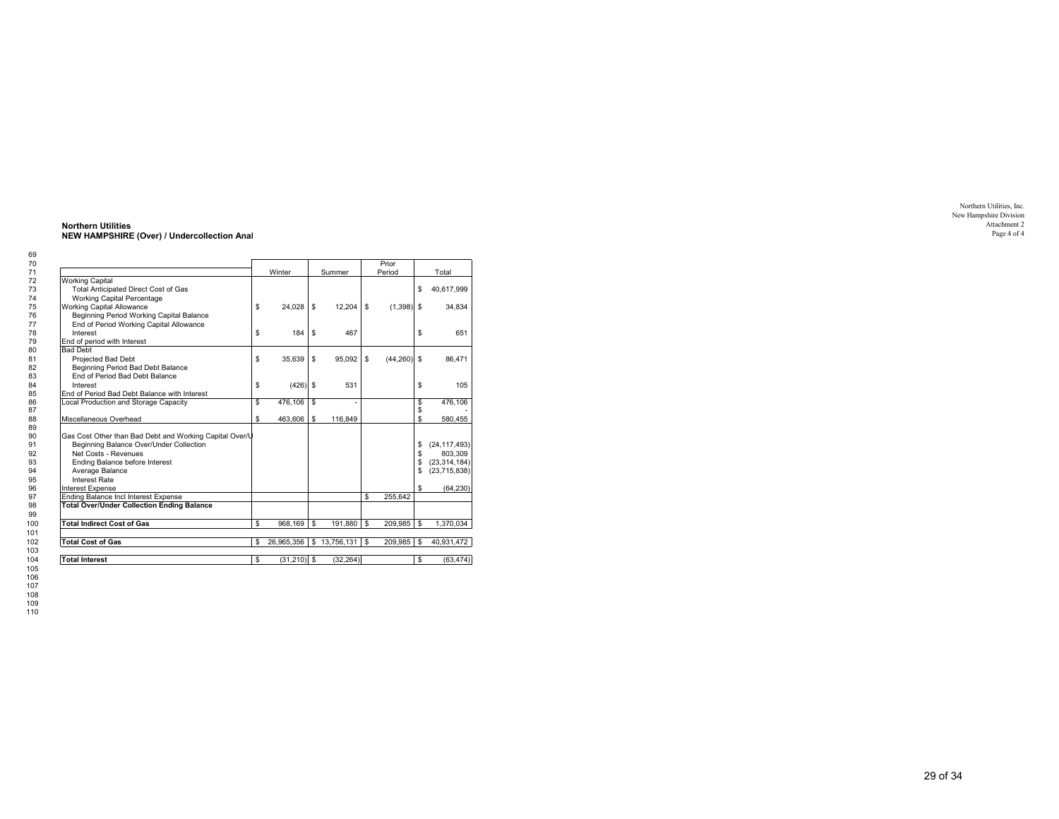| \$<br>Beginning Period Working Capital Balance | Winter<br>24,028                                                                                                                                                                                                          |                       | Summer                      |                           | Prior<br>Period | \$             | Total<br>40,617,999 |
|------------------------------------------------|---------------------------------------------------------------------------------------------------------------------------------------------------------------------------------------------------------------------------|-----------------------|-----------------------------|---------------------------|-----------------|----------------|---------------------|
|                                                |                                                                                                                                                                                                                           |                       |                             |                           |                 |                |                     |
|                                                |                                                                                                                                                                                                                           |                       |                             |                           |                 |                |                     |
|                                                |                                                                                                                                                                                                                           |                       |                             |                           |                 |                |                     |
|                                                |                                                                                                                                                                                                                           |                       |                             |                           |                 |                |                     |
|                                                |                                                                                                                                                                                                                           |                       |                             |                           |                 |                |                     |
|                                                |                                                                                                                                                                                                                           | \$                    | 12,204                      | \$                        | $(1,398)$ \$    |                | 34,834              |
|                                                |                                                                                                                                                                                                                           |                       |                             |                           |                 |                |                     |
| End of Period Working Capital Allowance        |                                                                                                                                                                                                                           |                       |                             |                           |                 |                |                     |
| \$                                             | 184                                                                                                                                                                                                                       | \$                    | 467                         |                           |                 | \$             | 651                 |
|                                                |                                                                                                                                                                                                                           |                       |                             |                           |                 |                |                     |
|                                                |                                                                                                                                                                                                                           |                       |                             |                           |                 |                |                     |
| \$                                             | 35,639                                                                                                                                                                                                                    | \$                    | 95,092                      | \$                        | (44, 260)       | $\mathfrak{s}$ | 86,471              |
|                                                |                                                                                                                                                                                                                           |                       |                             |                           |                 |                |                     |
|                                                |                                                                                                                                                                                                                           |                       |                             |                           |                 |                |                     |
|                                                |                                                                                                                                                                                                                           |                       | 531                         |                           |                 |                | 105                 |
|                                                |                                                                                                                                                                                                                           |                       |                             |                           |                 |                |                     |
| \$                                             |                                                                                                                                                                                                                           | \$                    |                             |                           |                 | \$             | 476,106             |
|                                                |                                                                                                                                                                                                                           |                       |                             |                           |                 | \$             |                     |
| \$                                             | 463,606                                                                                                                                                                                                                   | \$                    | 116,849                     |                           |                 | \$             | 580,455             |
|                                                |                                                                                                                                                                                                                           |                       |                             |                           |                 |                |                     |
|                                                |                                                                                                                                                                                                                           |                       |                             |                           |                 |                |                     |
|                                                |                                                                                                                                                                                                                           |                       |                             |                           |                 | \$             | (24, 117, 493)      |
|                                                |                                                                                                                                                                                                                           |                       |                             |                           |                 | \$             | 803,309             |
|                                                |                                                                                                                                                                                                                           |                       |                             |                           |                 | \$             | (23, 314, 184)      |
|                                                |                                                                                                                                                                                                                           |                       |                             |                           |                 | \$             | (23,715,838)        |
|                                                |                                                                                                                                                                                                                           |                       |                             |                           |                 |                |                     |
|                                                |                                                                                                                                                                                                                           |                       |                             |                           |                 | \$             | (64.230)            |
|                                                |                                                                                                                                                                                                                           |                       |                             | \$                        | 255.642         |                |                     |
|                                                |                                                                                                                                                                                                                           |                       |                             |                           |                 |                |                     |
|                                                |                                                                                                                                                                                                                           |                       |                             |                           |                 |                |                     |
| \$                                             | 968,169                                                                                                                                                                                                                   | \$                    | 191,880                     | \$                        | 209,985         | \$             | 1,370,034           |
|                                                |                                                                                                                                                                                                                           |                       |                             |                           |                 |                |                     |
|                                                |                                                                                                                                                                                                                           |                       |                             |                           |                 |                | 40,931,472          |
|                                                |                                                                                                                                                                                                                           |                       |                             |                           |                 |                |                     |
|                                                |                                                                                                                                                                                                                           |                       |                             |                           |                 |                | (63, 474)           |
|                                                |                                                                                                                                                                                                                           |                       |                             |                           |                 |                |                     |
|                                                | \$<br>End of Period Bad Debt Balance with Interest<br>Gas Cost Other than Bad Debt and Working Capital Over/U<br>Beginning Balance Over/Under Collection<br><b>Total Over/Under Collection Ending Balance</b><br>\$<br>\$ | 476,106<br>26,965,356 | $(426)$ \$<br>$(31,210)$ \$ | \$13,756,131<br>(32, 264) | \$              | 209,985        | \$<br>\$<br>\$      |

**Northern Utilities NEW HAMPSHIRE (Over) / Undercollection Anal**

Northern Utilities, Inc. New Hampshire Division Attachment 2 Page 4 of 4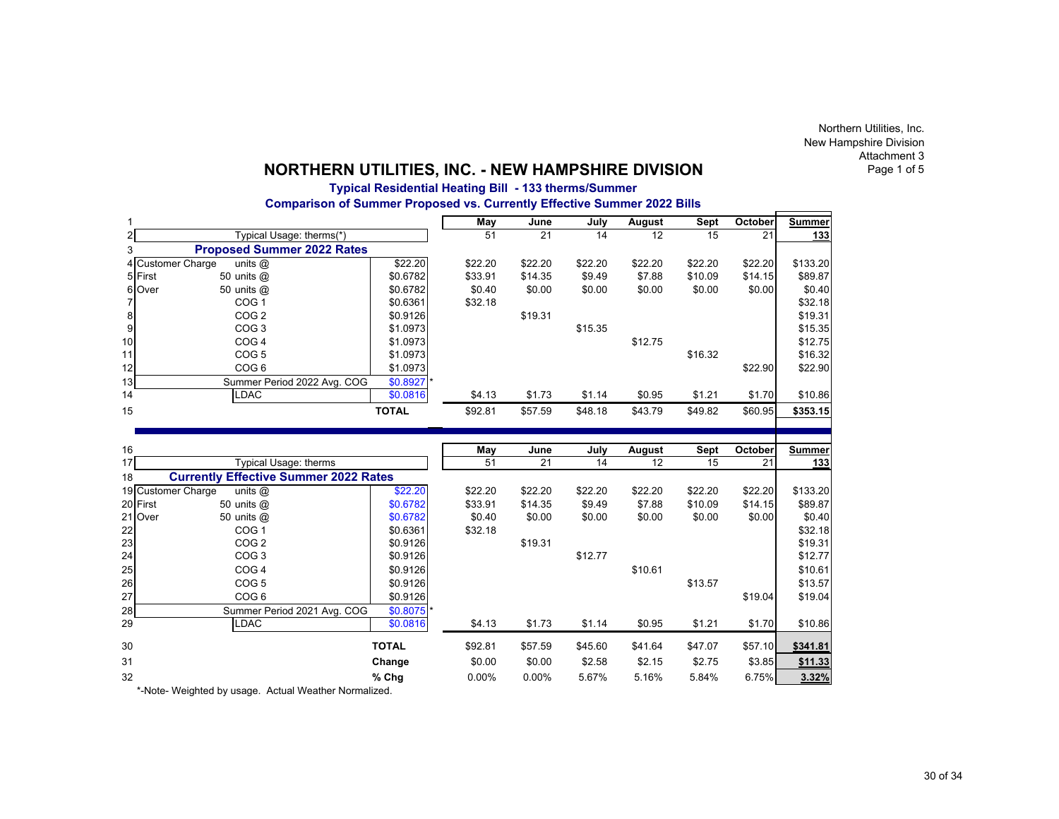Northern Utilities, Inc. New Hampshire Division Attachment 3Page 1 of 5

J.

## **NORTHERN UTILITIES, INC. - NEW HAMPSHIRE DIVISION**

## **Typical Residential Heating Bill - 133 therms/Summer**

**Comparison of Summer Proposed vs. Currently Effective Summer 2022 Bills**

| 1                                                                                     |              | <b>May</b>      | June    | July    | August          | Sept            | October | <b>Summer</b> |
|---------------------------------------------------------------------------------------|--------------|-----------------|---------|---------|-----------------|-----------------|---------|---------------|
| $\overline{2}$<br>Typical Usage: therms(*)                                            |              | $\overline{51}$ | 21      | 14      | $\overline{12}$ | $\overline{15}$ | 21      | 133           |
| <b>Proposed Summer 2022 Rates</b><br>3                                                |              |                 |         |         |                 |                 |         |               |
| 4 Customer Charge<br>units $@$                                                        | \$22.20      | \$22.20         | \$22.20 | \$22.20 | \$22.20         | \$22.20         | \$22.20 | \$133.20      |
| 5 First<br>50 units @                                                                 | \$0.6782     | \$33.91         | \$14.35 | \$9.49  | \$7.88          | \$10.09         | \$14.15 | \$89.87       |
| 6 Over<br>50 units @                                                                  | \$0.6782     | \$0.40          | \$0.00  | \$0.00  | \$0.00          | \$0.00          | \$0.00  | \$0.40        |
| $\overline{7}$<br>COG <sub>1</sub>                                                    | \$0.6361     | \$32.18         |         |         |                 |                 |         | \$32.18       |
| 8<br>COG <sub>2</sub>                                                                 | \$0.9126     |                 | \$19.31 |         |                 |                 |         | \$19.31       |
| $\boldsymbol{9}$<br>COG <sub>3</sub>                                                  | \$1.0973     |                 |         | \$15.35 |                 |                 |         | \$15.35       |
| 10<br>COG <sub>4</sub>                                                                | \$1.0973     |                 |         |         | \$12.75         |                 |         | \$12.75       |
| COG <sub>5</sub><br>11                                                                | \$1.0973     |                 |         |         |                 | \$16.32         |         | \$16.32       |
| 12<br>COG <sub>6</sub>                                                                | \$1.0973     |                 |         |         |                 |                 | \$22.90 | \$22.90       |
| 13<br>Summer Period 2022 Avg. COG                                                     | \$0.8927 *   |                 |         |         |                 |                 |         |               |
| 14<br>LDAC                                                                            | \$0.0816     | \$4.13          | \$1.73  | \$1.14  | \$0.95          | \$1.21          | \$1.70  | \$10.86       |
| 15                                                                                    | <b>TOTAL</b> | \$92.81         | \$57.59 | \$48.18 | \$43.79         | \$49.82         | \$60.95 | \$353.15      |
|                                                                                       |              |                 |         |         |                 |                 |         |               |
|                                                                                       |              |                 |         |         |                 |                 |         |               |
|                                                                                       |              |                 |         |         |                 |                 |         |               |
| 16                                                                                    |              | May             | June    | July    | August          | Sept            | October | <b>Summer</b> |
| 17<br>Typical Usage: therms                                                           |              | 51              | 21      | 14      | 12              | 15              | 21      | 133           |
|                                                                                       |              |                 |         |         |                 |                 |         |               |
| <b>Currently Effective Summer 2022 Rates</b><br>18<br>19 Customer Charge<br>units $@$ | \$22.20      | \$22.20         | \$22.20 | \$22.20 | \$22.20         | \$22.20         | \$22.20 | \$133.20      |
| 20 First<br>50 units @                                                                | \$0.6782     | \$33.91         | \$14.35 | \$9.49  | \$7.88          | \$10.09         | \$14.15 | \$89.87       |
| 21 Over<br>50 units @                                                                 | \$0.6782     | \$0.40          | \$0.00  | \$0.00  | \$0.00          | \$0.00          | \$0.00  | \$0.40        |
| 22<br>COG <sub>1</sub>                                                                | \$0.6361     | \$32.18         |         |         |                 |                 |         | \$32.18       |
| 23<br>COG <sub>2</sub>                                                                | \$0.9126     |                 | \$19.31 |         |                 |                 |         | \$19.31       |
| 24<br>COG <sub>3</sub>                                                                | \$0.9126     |                 |         | \$12.77 |                 |                 |         | \$12.77       |
| COG <sub>4</sub>                                                                      | \$0.9126     |                 |         |         | \$10.61         |                 |         | \$10.61       |
| 25<br>26<br>COG <sub>5</sub>                                                          | \$0.9126     |                 |         |         |                 | \$13.57         |         | \$13.57       |
| 27<br>COG <sub>6</sub>                                                                | \$0.9126     |                 |         |         |                 |                 | \$19.04 | \$19.04       |
|                                                                                       | $$0.8075$ *  |                 |         |         |                 |                 |         |               |
| Summer Period 2021 Avg. COG<br><b>LDAC</b>                                            | \$0.0816     | \$4.13          | \$1.73  | \$1.14  | \$0.95          | \$1.21          | \$1.70  | \$10.86       |
| 28<br>29<br>30                                                                        | <b>TOTAL</b> | \$92.81         | \$57.59 | \$45.60 | \$41.64         | \$47.07         | \$57.10 | \$341.81      |
| 31                                                                                    | Change       | \$0.00          | \$0.00  | \$2.58  | \$2.15          | \$2.75          | \$3.85  | \$11.33       |

\*-Note- Weighted by usage. Actual Weather Normalized.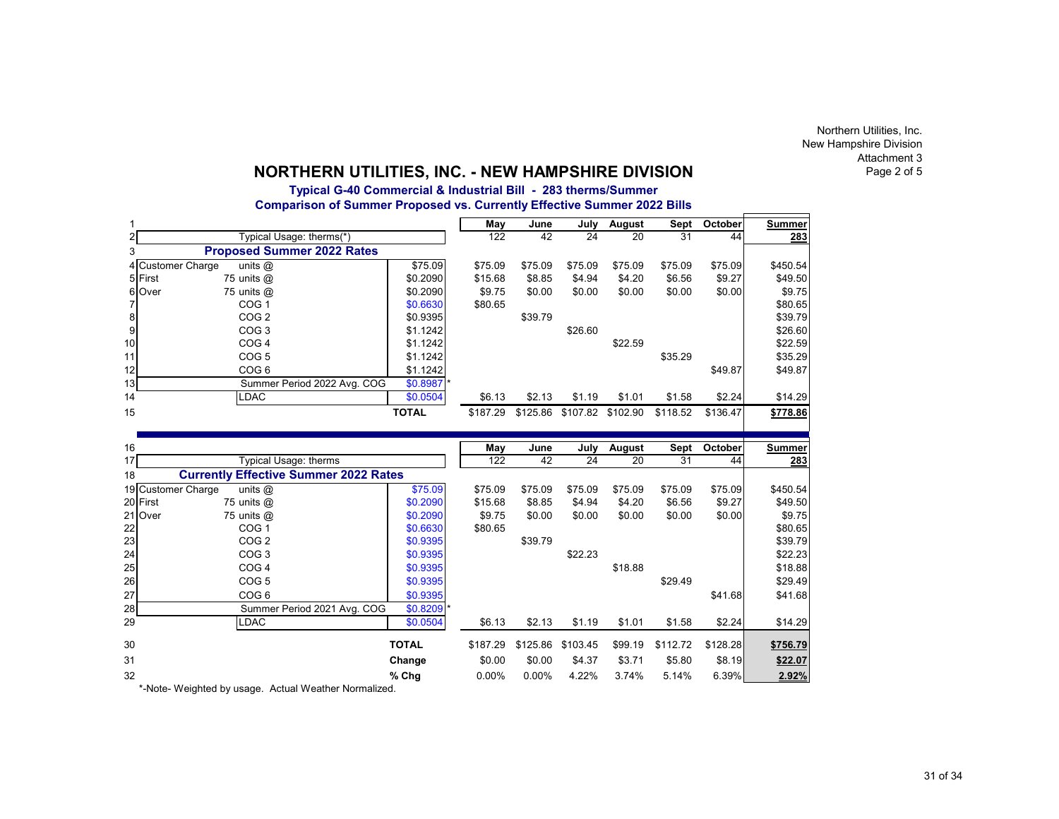Northern Utilities, Inc. New Hampshire Division Attachment 3Page 2 of 5

# **NORTHERN UTILITIES, INC. - NEW HAMPSHIRE DIVISION**

## **Typical G-40 Commercial & Industrial Bill - 283 therms/Summer Comparison of Summer Proposed vs. Currently Effective Summer 2022 Bills**

|                  |                                              |              | May      | June     | July            | August   | Sept            | October  | <b>Summer</b> |
|------------------|----------------------------------------------|--------------|----------|----------|-----------------|----------|-----------------|----------|---------------|
| 2                | Typical Usage: therms(*)                     |              | 122      | 42       | 24              | 20       | 31              | 44       | 283           |
| 3                | <b>Proposed Summer 2022 Rates</b>            |              |          |          |                 |          |                 |          |               |
|                  | 4 Customer Charge<br>units $@$               | \$75.09      | \$75.09  | \$75.09  | \$75.09         | \$75.09  | \$75.09         | \$75.09  | \$450.54      |
|                  | 5 First<br>75 units @                        | \$0.2090     | \$15.68  | \$8.85   | \$4.94          | \$4.20   | \$6.56          | \$9.27   | \$49.50       |
| 6                | Over<br>75 units @                           | \$0.2090     | \$9.75   | \$0.00   | \$0.00          | \$0.00   | \$0.00          | \$0.00   | \$9.75        |
| 7                | COG <sub>1</sub>                             | \$0.6630     | \$80.65  |          |                 |          |                 |          | \$80.65       |
| 8                | COG <sub>2</sub>                             | \$0.9395     |          | \$39.79  |                 |          |                 |          | \$39.79       |
| $\boldsymbol{9}$ | COG <sub>3</sub>                             | \$1.1242     |          |          | \$26.60         |          |                 |          | \$26.60       |
| 10               | COG <sub>4</sub>                             | \$1.1242     |          |          |                 | \$22.59  |                 |          | \$22.59       |
| 11               | COG <sub>5</sub>                             | \$1.1242     |          |          |                 |          | \$35.29         |          | \$35.29       |
| 12               | COG <sub>6</sub>                             | \$1.1242     |          |          |                 |          |                 | \$49.87  | \$49.87       |
| 13               | Summer Period 2022 Avg. COG                  | $$0.8987$ *  |          |          |                 |          |                 |          |               |
| 14               | <b>LDAC</b>                                  | \$0.0504     | \$6.13   | \$2.13   | \$1.19          | \$1.01   | \$1.58          | \$2.24   | \$14.29       |
| 15               |                                              | <b>TOTAL</b> | \$187.29 | \$125.86 | \$107.82        | \$102.90 | \$118.52        | \$136.47 | \$778.86      |
|                  |                                              |              |          |          |                 |          |                 |          |               |
|                  |                                              |              |          |          |                 |          |                 |          |               |
|                  |                                              |              |          |          |                 |          |                 |          |               |
|                  |                                              |              | May      | June     | July            | August   | Sept            | October  | <b>Summer</b> |
| 16<br>17         | Typical Usage: therms                        |              | 122      | 42       | $\overline{24}$ | 20       | $\overline{31}$ | 44       | 283           |
| 18               | <b>Currently Effective Summer 2022 Rates</b> |              |          |          |                 |          |                 |          |               |
|                  | 19 Customer Charge<br>units $@$              | \$75.09      | \$75.09  | \$75.09  | \$75.09         | \$75.09  | \$75.09         | \$75.09  | \$450.54      |
|                  | 20 First<br>75 units @                       | \$0.2090     | \$15.68  | \$8.85   | \$4.94          | \$4.20   | \$6.56          | \$9.27   | \$49.50       |
|                  | 21 Over<br>75 units @                        | \$0.2090     | \$9.75   | \$0.00   | \$0.00          | \$0.00   | \$0.00          | \$0.00   | \$9.75        |
|                  | COG <sub>1</sub>                             | \$0.6630     | \$80.65  |          |                 |          |                 |          | \$80.65       |
| 22<br>23         | COG <sub>2</sub>                             | \$0.9395     |          | \$39.79  |                 |          |                 |          | \$39.79       |
| 24               | COG <sub>3</sub>                             | \$0.9395     |          |          | \$22.23         |          |                 |          | \$22.23       |
| 25               | COG <sub>4</sub>                             | \$0.9395     |          |          |                 | \$18.88  |                 |          | \$18.88       |
| 26               | COG <sub>5</sub>                             | \$0.9395     |          |          |                 |          | \$29.49         |          | \$29.49       |
| 27               | COG <sub>6</sub>                             | \$0.9395     |          |          |                 |          |                 | \$41.68  | \$41.68       |
|                  | Summer Period 2021 Avg. COG                  | $$0.8209$ *  |          |          |                 |          |                 |          |               |
|                  | <b>LDAC</b>                                  | \$0.0504     | \$6.13   | \$2.13   | \$1.19          | \$1.01   | \$1.58          | \$2.24   | \$14.29       |
| 28<br>29<br>30   |                                              | <b>TOTAL</b> | \$187.29 | \$125.86 | \$103.45        | \$99.19  | \$112.72        | \$128.28 | \$756.79      |
| 31               |                                              | Change       | \$0.00   | \$0.00   | \$4.37          | \$3.71   | \$5.80          | \$8.19   | \$22.07       |

\*-Note- Weighted by usage. Actual Weather Normalized.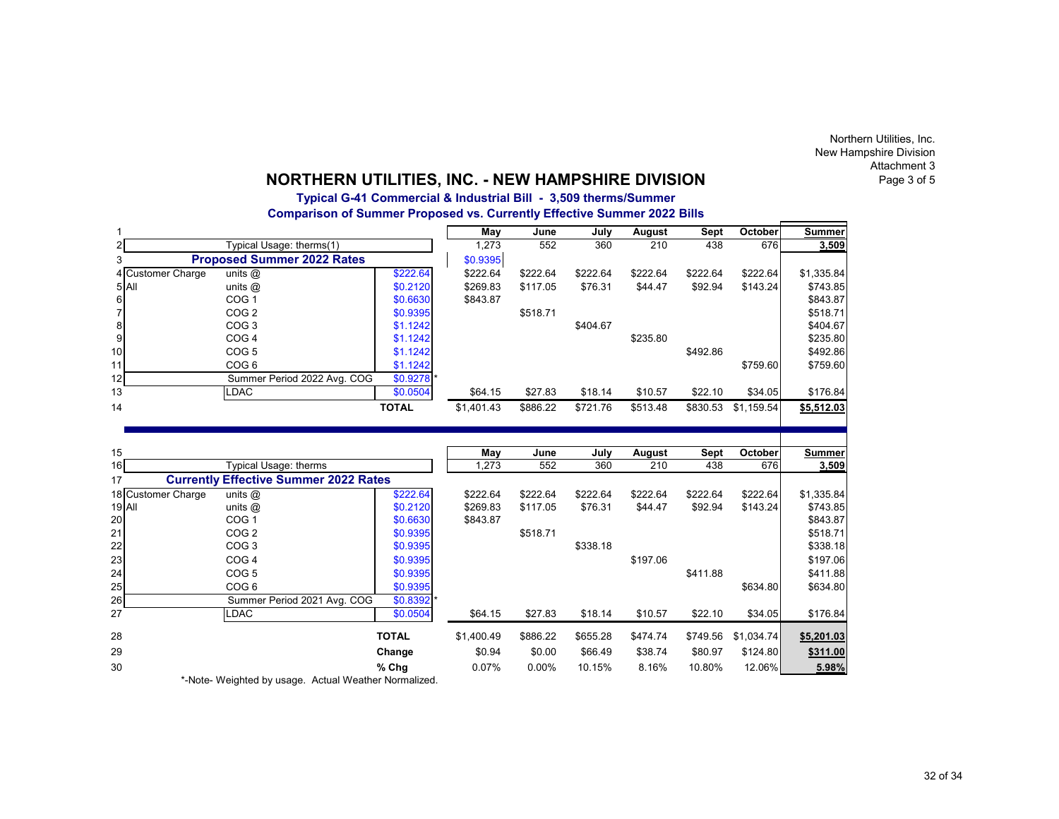Northern Utilities, Inc. New Hampshire Division Attachment 3Page 3 of 5

# **NORTHERN UTILITIES, INC. - NEW HAMPSHIRE DIVISION**

**Typical G-41 Commercial & Industrial Bill - 3,509 therms/Summer**

**Comparison of Summer Proposed vs. Currently Effective Summer 2022 Bills**

|                    |                                              |              | May        | June     | July     | August           | <b>Sept</b> | October    | Summer        |
|--------------------|----------------------------------------------|--------------|------------|----------|----------|------------------|-------------|------------|---------------|
| 2                  | Typical Usage: therms(1)                     |              | 1,273      | 552      | 360      | $\overline{210}$ | 438         | 676        | 3,509         |
| 3                  | <b>Proposed Summer 2022 Rates</b>            |              | \$0.9395   |          |          |                  |             |            |               |
| 4 Customer Charge  | units $@$                                    | \$222.64     | \$222.64   | \$222.64 | \$222.64 | \$222.64         | \$222.64    | \$222.64   | \$1,335.84    |
| 5 All              | units @                                      | \$0.2120     | \$269.83   | \$117.05 | \$76.31  | \$44.47          | \$92.94     | \$143.24   | \$743.85      |
| 6                  | COG <sub>1</sub>                             | \$0.6630     | \$843.87   |          |          |                  |             |            | \$843.87      |
| $\overline{7}$     | COG <sub>2</sub>                             | \$0.9395     |            | \$518.71 |          |                  |             |            | \$518.71      |
| $\bf8$             | COG <sub>3</sub>                             | \$1.1242     |            |          | \$404.67 |                  |             |            | \$404.67      |
| $\boldsymbol{9}$   | COG <sub>4</sub>                             | \$1.1242     |            |          |          | \$235.80         |             |            | \$235.80      |
| 10                 | COG <sub>5</sub>                             | \$1.1242     |            |          |          |                  | \$492.86    |            | \$492.86      |
| 11                 | COG <sub>6</sub>                             | \$1.1242     |            |          |          |                  |             | \$759.60   | \$759.60      |
| 12                 | Summer Period 2022 Avg. COG                  | \$0.9278 *   |            |          |          |                  |             |            |               |
| 13                 | LDAC                                         | \$0.0504     | \$64.15    | \$27.83  | \$18.14  | \$10.57          | \$22.10     | \$34.05    | \$176.84      |
| 14                 |                                              | <b>TOTAL</b> | \$1,401.43 | \$886.22 | \$721.76 | \$513.48         | \$830.53    | \$1,159.54 | \$5,512.03    |
|                    |                                              |              |            |          |          |                  |             |            |               |
|                    |                                              |              |            |          |          |                  |             |            |               |
| 15                 |                                              |              | May        | June     | July     | August           | Sept        | October    | <b>Summer</b> |
| 16                 | Typical Usage: therms                        |              | 1,273      | 552      | 360      | 210              | 438         | 676        | 3,509         |
| 17                 | <b>Currently Effective Summer 2022 Rates</b> |              |            |          |          |                  |             |            |               |
| 18 Customer Charge | $\overline{\text{units}}$ $\textcircled{a}$  | \$222.64     | \$222.64   | \$222.64 | \$222.64 | \$222.64         | \$222.64    | \$222.64   | \$1,335.84    |
| <b>19 All</b>      | units @                                      | \$0.2120     | \$269.83   | \$117.05 | \$76.31  | \$44.47          | \$92.94     | \$143.24   | \$743.85      |
| 20                 | COG <sub>1</sub>                             | \$0.6630     | \$843.87   |          |          |                  |             |            | \$843.87      |
| 21                 | COG <sub>2</sub>                             | \$0.9395     |            | \$518.71 |          |                  |             |            | \$518.71      |
| 22                 | COG <sub>3</sub>                             | \$0.9395     |            |          | \$338.18 |                  |             |            | \$338.18      |
| 23                 | COG <sub>4</sub>                             | \$0.9395     |            |          |          | \$197.06         |             |            | \$197.06      |
| 24                 | COG <sub>5</sub>                             | \$0.9395     |            |          |          |                  | \$411.88    |            |               |
| 25                 |                                              |              |            |          |          |                  |             |            | \$411.88      |
| 26                 | COG <sub>6</sub>                             | \$0.9395     |            |          |          |                  |             | \$634.80   | \$634.80      |
| 27                 | Summer Period 2021 Avg. COG                  | $$0.8392$ *  |            |          |          |                  |             |            |               |
|                    | <b>LDAC</b>                                  | \$0.0504     | \$64.15    | \$27.83  | \$18.14  | \$10.57          | \$22.10     | \$34.05    | \$176.84      |
| 28                 |                                              | <b>TOTAL</b> | \$1,400.49 | \$886.22 | \$655.28 | \$474.74         | \$749.56    | \$1,034.74 | \$5,201.03    |
| 29                 |                                              | Change       | \$0.94     | \$0.00   | \$66.49  | \$38.74          | \$80.97     | \$124.80   | \$311.00      |
| 30                 |                                              | % Chg        | 0.07%      | 0.00%    | 10.15%   | 8.16%            | 10.80%      | 12.06%     | 5.98%         |

\*-Note- Weighted by usage. Actual Weather Normalized.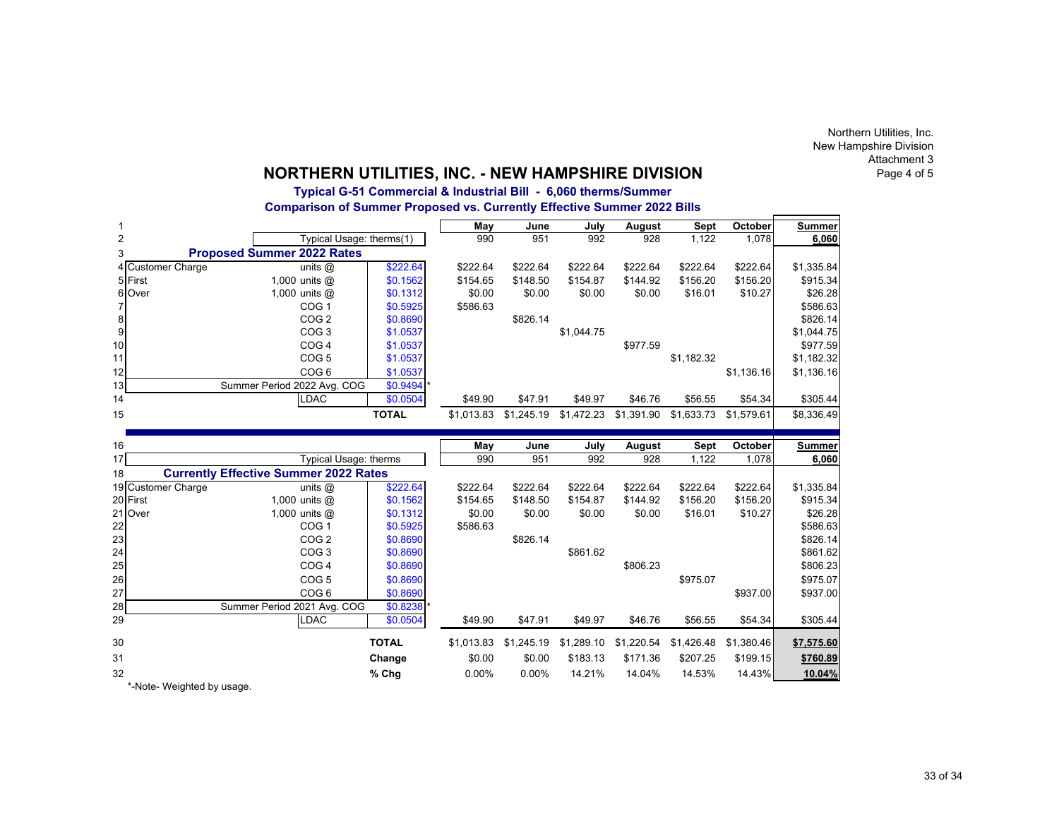Northern Utilities, Inc. New Hampshire Division Attachment 3Page 4 of 5

# **NORTHERN UTILITIES, INC. - NEW HAMPSHIRE DIVISION**

## **Typical G-51 Commercial & Industrial Bill - 6,060 therms/Summer Comparison of Summer Proposed vs. Currently Effective Summer 2022 Bills**

|                  |                     |                                              |              | May        | June       | July        | August        | Sept          | October          | <b>Summer</b>                                           |
|------------------|---------------------|----------------------------------------------|--------------|------------|------------|-------------|---------------|---------------|------------------|---------------------------------------------------------|
| $\overline{2}$   |                     | Typical Usage: therms(1)                     |              | 990        | 951        | 992         | 928           | 1,122         | 1,078            | 6,060                                                   |
| 3                |                     | <b>Proposed Summer 2022 Rates</b>            |              |            |            |             |               |               |                  |                                                         |
|                  | 4 Customer Charge   | units $@$                                    | \$222.64     | \$222.64   | \$222.64   | \$222.64    | \$222.64      | \$222.64      | \$222.64         | \$1,335.84                                              |
|                  | 5 First             | 1,000 units $@$                              | \$0.1562     | \$154.65   | \$148.50   | \$154.87    | \$144.92      | \$156.20      | \$156.20         | \$915.34                                                |
|                  | 6 Over              | 1,000 units $@$                              | \$0.1312     | \$0.00     | \$0.00     | \$0.00      | \$0.00        | \$16.01       | \$10.27          | \$26.28                                                 |
| 7                |                     | COG <sub>1</sub>                             | \$0.5925     | \$586.63   |            |             |               |               |                  | \$586.63                                                |
| 8                |                     | COG <sub>2</sub>                             | \$0.8690     |            | \$826.14   |             |               |               |                  | \$826.14                                                |
| $\boldsymbol{9}$ |                     | COG <sub>3</sub>                             | \$1.0537     |            |            | \$1,044.75  |               |               |                  | \$1,044.75                                              |
| 10               |                     | COG <sub>4</sub>                             | \$1.0537     |            |            |             | \$977.59      |               |                  | \$977.59                                                |
| 11               |                     | COG <sub>5</sub>                             | \$1.0537     |            |            |             |               | \$1,182.32    |                  | \$1,182.32                                              |
| 12               |                     | COG <sub>6</sub>                             | \$1.0537     |            |            |             |               |               | \$1.136.16       | \$1,136.16                                              |
| 13               |                     | Summer Period 2022 Avg. COG                  | \$0.9494     |            |            |             |               |               |                  |                                                         |
| 14               |                     | <b>LDAC</b>                                  | \$0.0504     | \$49.90    | \$47.91    | \$49.97     | \$46.76       | \$56.55       | \$54.34          | \$305.44                                                |
| 15               |                     |                                              | <b>TOTAL</b> | \$1,013.83 | \$1,245.19 | \$1,472.23  | \$1,391.90    | \$1,633.73    | \$1,579.61       | \$8,336.49                                              |
|                  |                     |                                              |              |            |            |             |               |               |                  |                                                         |
|                  |                     |                                              |              |            |            |             |               |               |                  |                                                         |
| 16               |                     |                                              |              |            | June       |             |               |               |                  |                                                         |
| 17               |                     | Typical Usage: therms                        |              | May<br>990 | 951        | July<br>992 | August<br>928 | Sept<br>1,122 | October<br>1,078 | <b>Summer</b><br>6,060                                  |
| 18               |                     | <b>Currently Effective Summer 2022 Rates</b> |              |            |            |             |               |               |                  |                                                         |
|                  | 19 Customer Charge  |                                              | \$222.64     | \$222.64   | \$222.64   | \$222.64    | \$222.64      | \$222.64      | \$222.64         |                                                         |
|                  |                     | units $@$<br>1,000 units $@$                 | \$0.1562     | \$154.65   | \$148.50   | \$154.87    | \$144.92      | \$156.20      | \$156.20         | \$1,335.84                                              |
|                  | 20 First<br>21 Over | 1,000 units $@$                              | \$0.1312     | \$0.00     | \$0.00     | \$0.00      | \$0.00        | \$16.01       | \$10.27          |                                                         |
| 22               |                     | COG <sub>1</sub>                             | \$0.5925     | \$586.63   |            |             |               |               |                  |                                                         |
| 23               |                     | COG <sub>2</sub>                             | \$0.8690     |            | \$826.14   |             |               |               |                  |                                                         |
| 24               |                     | COG <sub>3</sub>                             | \$0.8690     |            |            | \$861.62    |               |               |                  | \$861.62                                                |
| 25               |                     | COG <sub>4</sub>                             | \$0.8690     |            |            |             | \$806.23      |               |                  | \$806.23                                                |
|                  |                     | COG <sub>5</sub>                             | \$0.8690     |            |            |             |               | \$975.07      |                  | \$915.34<br>\$26.28<br>\$586.63<br>\$826.14<br>\$975.07 |
| 26<br>27         |                     | COG <sub>6</sub>                             | \$0.8690     |            |            |             |               |               | \$937.00         | \$937.00                                                |
| 28               |                     | Summer Period 2021 Avg. COG                  | \$0.8238     |            |            |             |               |               |                  |                                                         |
| 29               |                     | <b>LDAC</b>                                  | \$0.0504     | \$49.90    | \$47.91    | \$49.97     | \$46.76       | \$56.55       | \$54.34          | \$305.44                                                |
| 30               |                     |                                              | <b>TOTAL</b> | \$1,013.83 | \$1,245.19 | \$1,289.10  | \$1,220.54    | \$1,426.48    | \$1,380.46       | \$7,575.60                                              |
| 31               |                     |                                              | Change       | \$0.00     | \$0.00     | \$183.13    | \$171.36      | \$207.25      | \$199.15         | \$760.89                                                |
| 32               |                     |                                              | % Chg        | 0.00%      | $0.00\%$   | 14.21%      | 14.04%        | 14.53%        | 14.43%           | 10.04%                                                  |

\*-Note- Weighted by usage.